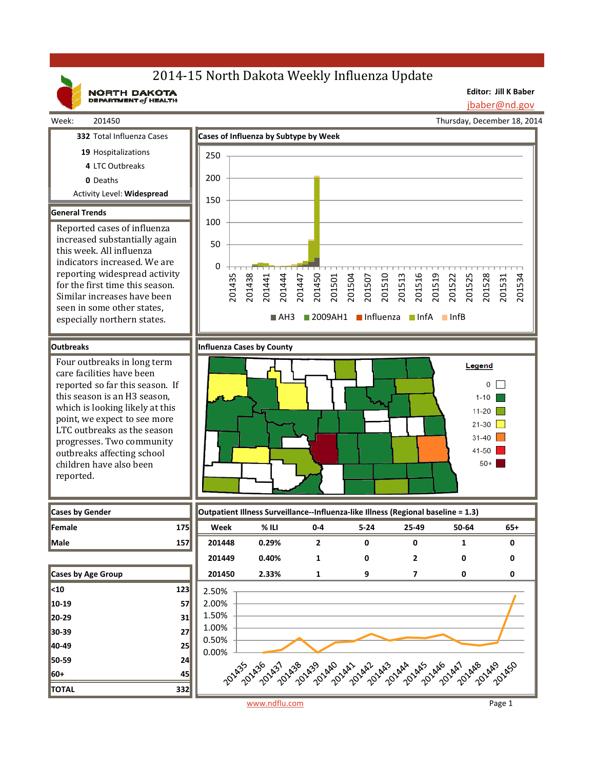# 2014-15 North Dakota Weekly Influenza Update

NORTH DAKOTA

**Editor: Jill K Baber**

jbaber@nd.gov



reported.

Thursday, December 18, 2014





www.ndflu.com Page 1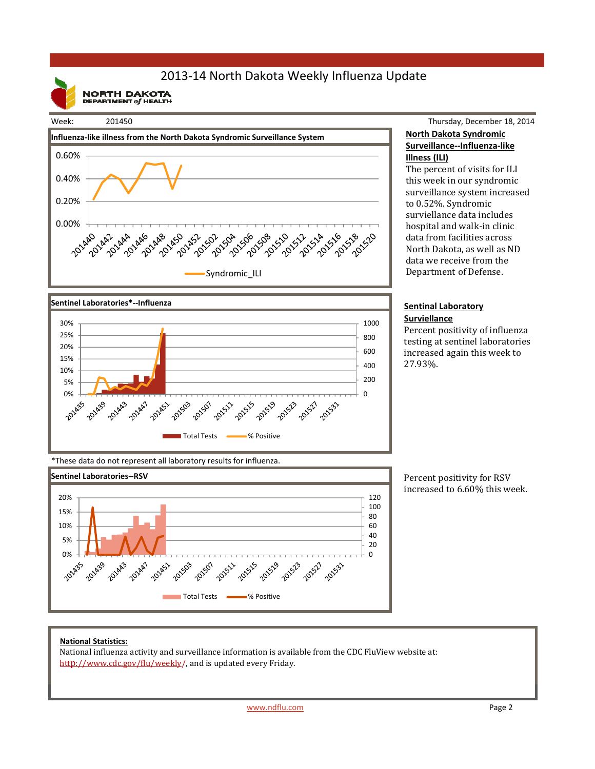## 2013‐14 North Dakota Weekly Influenza Update

**NORTH DAKOTA**<br>DEPARTMENT of HEALTH



Thursday, December 18, 2014 **North Dakota Syndromic Surveillance‐‐Influenza‐like Illness (ILI)**

The percent of visits for ILI this week in our syndromic surveillance system increased to 0.52%. Syndromic surviellance data includes hospital and walk-in clinic data from facilities across North Dakota, as well as ND data we receive from the Department of Defense.

#### **Sentinal Laboratory Surviellance**

Percent positivity of influenza testing at sentinel laboratories increased again this week to 27.93%. 



\*These data do not represent all laboratory results for influenza.



Percent positivity for RSV increased to 6.60% this week.

### **National Statistics:**

National influenza activity and surveillance information is available from the CDC FluView website at: http://www.cdc.gov/flu/weekly/, and is updated every Friday.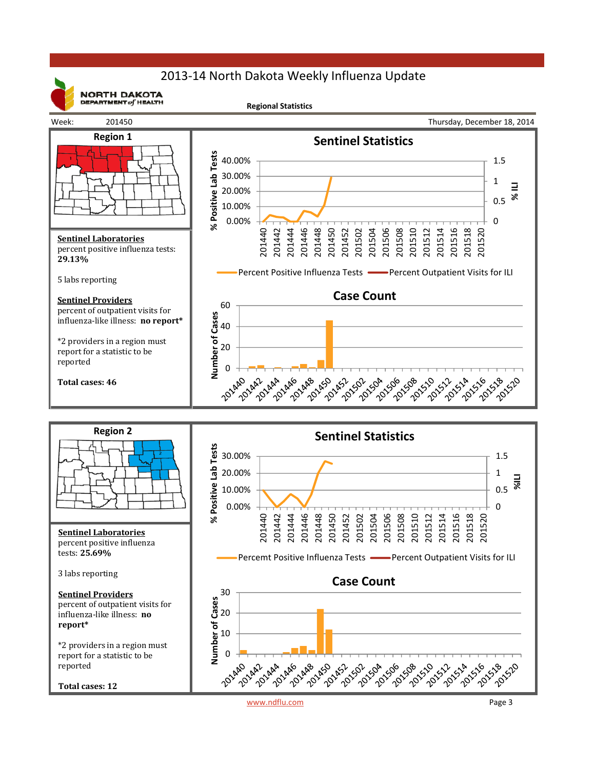## 2013‐14 North Dakota Weekly Influenza Update



**NORTH DAKOTA** DEPARTMENT  $of$  HEALTH

**Regional Statistics**